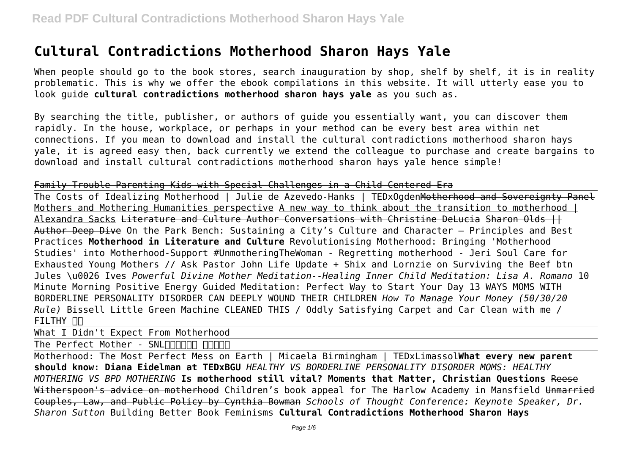# **Cultural Contradictions Motherhood Sharon Hays Yale**

When people should go to the book stores, search inauguration by shop, shelf by shelf, it is in reality problematic. This is why we offer the ebook compilations in this website. It will utterly ease you to look guide **cultural contradictions motherhood sharon hays yale** as you such as.

By searching the title, publisher, or authors of guide you essentially want, you can discover them rapidly. In the house, workplace, or perhaps in your method can be every best area within net connections. If you mean to download and install the cultural contradictions motherhood sharon hays yale, it is agreed easy then, back currently we extend the colleague to purchase and create bargains to download and install cultural contradictions motherhood sharon hays yale hence simple!

#### Family Trouble Parenting Kids with Special Challenges in a Child Centered Era

The Costs of Idealizing Motherhood | Julie de Azevedo-Hanks | TEDxOgdenMotherhood and Sovereignty Panel Mothers and Mothering Humanities perspective A new way to think about the transition to motherhood | Alexandra Sacks <del>Literature and Culture Author Conversations with Christine DeLucia Sharon Olds II</del> Author Deep Dive On the Park Bench: Sustaining a City's Culture and Character – Principles and Best Practices **Motherhood in Literature and Culture** Revolutionising Motherhood: Bringing 'Motherhood Studies' into Motherhood-Support #UnmotheringTheWoman - Regretting motherhood - Jeri Soul Care for Exhausted Young Mothers // Ask Pastor John Life Update + Shix and Lornzie on Surviving the Beef btn Jules \u0026 Ives *Powerful Divine Mother Meditation--Healing Inner Child Meditation: Lisa A. Romano* 10 Minute Morning Positive Energy Guided Meditation: Perfect Way to Start Your Day 13 WAYS MOMS WITH BORDERLINE PERSONALITY DISORDER CAN DEEPLY WOUND THEIR CHILDREN *How To Manage Your Money (50/30/20 Rule)* Bissell Little Green Machine CLEANED THIS / Oddly Satisfying Carpet and Car Clean with me / FILTHY **NO** 

What I Didn't Expect From Motherhood

The Perfect Mother - SNL<u>RRANDI</u> RANDI

Motherhood: The Most Perfect Mess on Earth | Micaela Birmingham | TEDxLimassol**What every new parent should know: Diana Eidelman at TEDxBGU** *HEALTHY VS BORDERLINE PERSONALITY DISORDER MOMS: HEALTHY MOTHERING VS BPD MOTHERING* **Is motherhood still vital? Moments that Matter, Christian Questions** Reese Witherspoon's advice on motherhood Children's book appeal for The Harlow Academy in Mansfield Unmarried Couples, Law, and Public Policy by Cynthia Bowman *Schools of Thought Conference: Keynote Speaker, Dr. Sharon Sutton* Building Better Book Feminisms **Cultural Contradictions Motherhood Sharon Hays**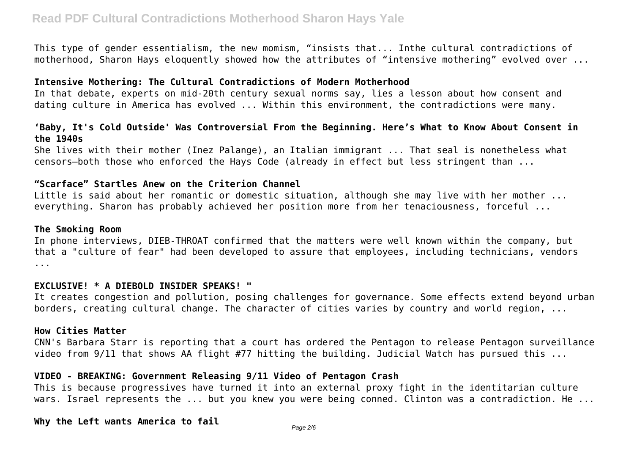This type of gender essentialism, the new momism, "insists that... Inthe cultural contradictions of motherhood, Sharon Hays eloquently showed how the attributes of "intensive mothering" evolved over ...

### **Intensive Mothering: The Cultural Contradictions of Modern Motherhood**

In that debate, experts on mid-20th century sexual norms say, lies a lesson about how consent and dating culture in America has evolved ... Within this environment, the contradictions were many.

### **'Baby, It's Cold Outside' Was Controversial From the Beginning. Here's What to Know About Consent in the 1940s**

She lives with their mother (Inez Palange), an Italian immigrant ... That seal is nonetheless what censors—both those who enforced the Hays Code (already in effect but less stringent than ...

### **"Scarface" Startles Anew on the Criterion Channel**

Little is said about her romantic or domestic situation, although she may live with her mother ... everything. Sharon has probably achieved her position more from her tenaciousness, forceful ...

#### **The Smoking Room**

In phone interviews, DIEB-THROAT confirmed that the matters were well known within the company, but that a "culture of fear" had been developed to assure that employees, including technicians, vendors ...

#### **EXCLUSIVE! \* A DIEBOLD INSIDER SPEAKS! "**

It creates congestion and pollution, posing challenges for governance. Some effects extend beyond urban borders, creating cultural change. The character of cities varies by country and world region, ...

#### **How Cities Matter**

CNN's Barbara Starr is reporting that a court has ordered the Pentagon to release Pentagon surveillance video from 9/11 that shows AA flight #77 hitting the building. Judicial Watch has pursued this ...

#### **VIDEO - BREAKING: Government Releasing 9/11 Video of Pentagon Crash**

This is because progressives have turned it into an external proxy fight in the identitarian culture wars. Israel represents the ... but you knew you were being conned. Clinton was a contradiction. He ...

#### **Why the Left wants America to fail**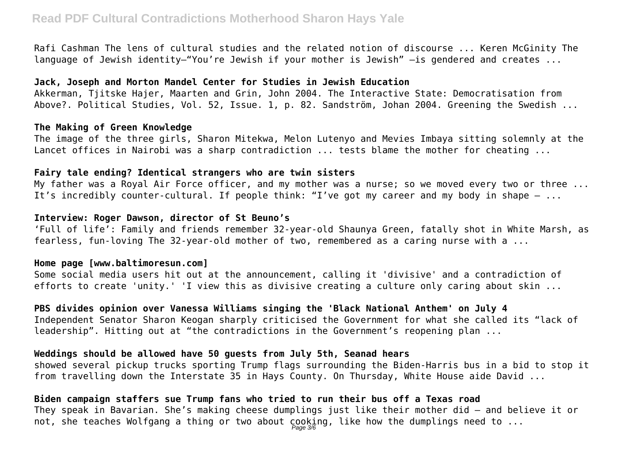# **Read PDF Cultural Contradictions Motherhood Sharon Hays Yale**

Rafi Cashman The lens of cultural studies and the related notion of discourse ... Keren McGinity The language of Jewish identity—"You're Jewish if your mother is Jewish" -is gendered and creates ...

# **Jack, Joseph and Morton Mandel Center for Studies in Jewish Education**

Akkerman, Tjitske Hajer, Maarten and Grin, John 2004. The Interactive State: Democratisation from Above?. Political Studies, Vol. 52, Issue. 1, p. 82. Sandström, Johan 2004. Greening the Swedish ...

#### **The Making of Green Knowledge**

The image of the three girls, Sharon Mitekwa, Melon Lutenyo and Mevies Imbaya sitting solemnly at the Lancet offices in Nairobi was a sharp contradiction ... tests blame the mother for cheating ...

#### **Fairy tale ending? Identical strangers who are twin sisters**

My father was a Royal Air Force officer, and my mother was a nurse; so we moved every two or three ... It's incredibly counter-cultural. If people think: "I've got my career and my body in shape  $-$  ...

#### **Interview: Roger Dawson, director of St Beuno's**

'Full of life': Family and friends remember 32-year-old Shaunya Green, fatally shot in White Marsh, as fearless, fun-loving The 32-year-old mother of two, remembered as a caring nurse with a ...

### **Home page [www.baltimoresun.com]**

Some social media users hit out at the announcement, calling it 'divisive' and a contradiction of efforts to create 'unity.' 'I view this as divisive creating a culture only caring about skin ...

**PBS divides opinion over Vanessa Williams singing the 'Black National Anthem' on July 4** Independent Senator Sharon Keogan sharply criticised the Government for what she called its "lack of leadership". Hitting out at "the contradictions in the Government's reopening plan ...

## **Weddings should be allowed have 50 guests from July 5th, Seanad hears**

showed several pickup trucks sporting Trump flags surrounding the Biden-Harris bus in a bid to stop it from travelling down the Interstate 35 in Hays County. On Thursday, White House aide David ...

# **Biden campaign staffers sue Trump fans who tried to run their bus off a Texas road**

They speak in Bavarian. She's making cheese dumplings just like their mother did — and believe it or not, she teaches Wolfgang a thing or two about  $\c{c}$ ooking, like how the dumplings need to  $\ldots$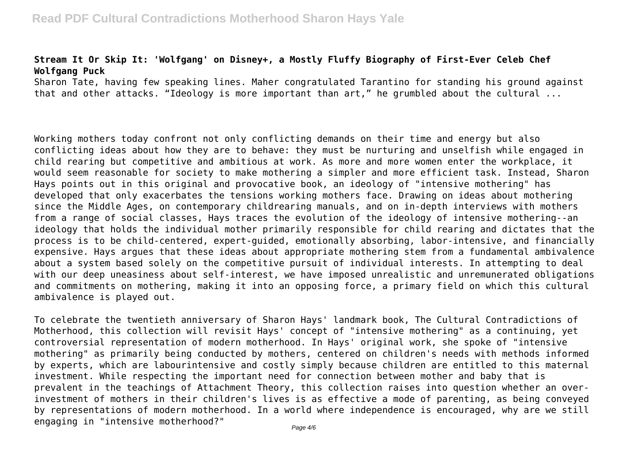# **Stream It Or Skip It: 'Wolfgang' on Disney+, a Mostly Fluffy Biography of First-Ever Celeb Chef Wolfgang Puck**

Sharon Tate, having few speaking lines. Maher congratulated Tarantino for standing his ground against that and other attacks. "Ideology is more important than art," he grumbled about the cultural ...

Working mothers today confront not only conflicting demands on their time and energy but also conflicting ideas about how they are to behave: they must be nurturing and unselfish while engaged in child rearing but competitive and ambitious at work. As more and more women enter the workplace, it would seem reasonable for society to make mothering a simpler and more efficient task. Instead, Sharon Hays points out in this original and provocative book, an ideology of "intensive mothering" has developed that only exacerbates the tensions working mothers face. Drawing on ideas about mothering since the Middle Ages, on contemporary childrearing manuals, and on in-depth interviews with mothers from a range of social classes, Hays traces the evolution of the ideology of intensive mothering--an ideology that holds the individual mother primarily responsible for child rearing and dictates that the process is to be child-centered, expert-guided, emotionally absorbing, labor-intensive, and financially expensive. Hays argues that these ideas about appropriate mothering stem from a fundamental ambivalence about a system based solely on the competitive pursuit of individual interests. In attempting to deal with our deep uneasiness about self-interest, we have imposed unrealistic and unremunerated obligations and commitments on mothering, making it into an opposing force, a primary field on which this cultural ambivalence is played out.

To celebrate the twentieth anniversary of Sharon Hays' landmark book, The Cultural Contradictions of Motherhood, this collection will revisit Hays' concept of "intensive mothering" as a continuing, yet controversial representation of modern motherhood. In Hays' original work, she spoke of "intensive mothering" as primarily being conducted by mothers, centered on children's needs with methods informed by experts, which are labourintensive and costly simply because children are entitled to this maternal investment. While respecting the important need for connection between mother and baby that is prevalent in the teachings of Attachment Theory, this collection raises into question whether an overinvestment of mothers in their children's lives is as effective a mode of parenting, as being conveyed by representations of modern motherhood. In a world where independence is encouraged, why are we still engaging in "intensive motherhood?"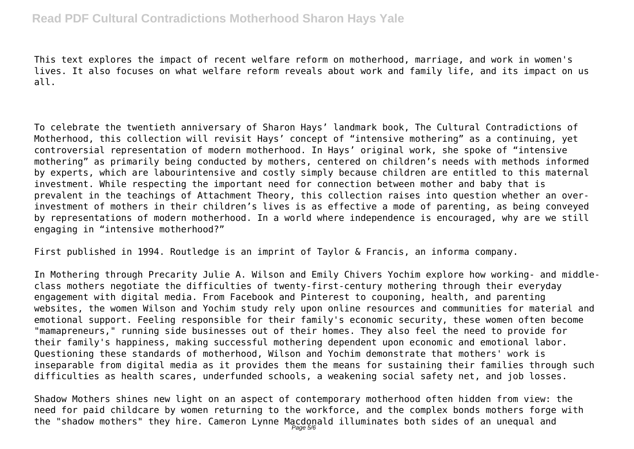# **Read PDF Cultural Contradictions Motherhood Sharon Hays Yale**

This text explores the impact of recent welfare reform on motherhood, marriage, and work in women's lives. It also focuses on what welfare reform reveals about work and family life, and its impact on us all.

To celebrate the twentieth anniversary of Sharon Hays' landmark book, The Cultural Contradictions of Motherhood, this collection will revisit Hays' concept of "intensive mothering" as a continuing, yet controversial representation of modern motherhood. In Hays' original work, she spoke of "intensive mothering" as primarily being conducted by mothers, centered on children's needs with methods informed by experts, which are labourintensive and costly simply because children are entitled to this maternal investment. While respecting the important need for connection between mother and baby that is prevalent in the teachings of Attachment Theory, this collection raises into question whether an overinvestment of mothers in their children's lives is as effective a mode of parenting, as being conveyed by representations of modern motherhood. In a world where independence is encouraged, why are we still engaging in "intensive motherhood?"

First published in 1994. Routledge is an imprint of Taylor & Francis, an informa company.

In Mothering through Precarity Julie A. Wilson and Emily Chivers Yochim explore how working- and middleclass mothers negotiate the difficulties of twenty-first-century mothering through their everyday engagement with digital media. From Facebook and Pinterest to couponing, health, and parenting websites, the women Wilson and Yochim study rely upon online resources and communities for material and emotional support. Feeling responsible for their family's economic security, these women often become "mamapreneurs," running side businesses out of their homes. They also feel the need to provide for their family's happiness, making successful mothering dependent upon economic and emotional labor. Questioning these standards of motherhood, Wilson and Yochim demonstrate that mothers' work is inseparable from digital media as it provides them the means for sustaining their families through such difficulties as health scares, underfunded schools, a weakening social safety net, and job losses.

Shadow Mothers shines new light on an aspect of contemporary motherhood often hidden from view: the need for paid childcare by women returning to the workforce, and the complex bonds mothers forge with the "shadow mothers" they hire. Cameron Lynne Macdonald illuminates both sides of an unequal and